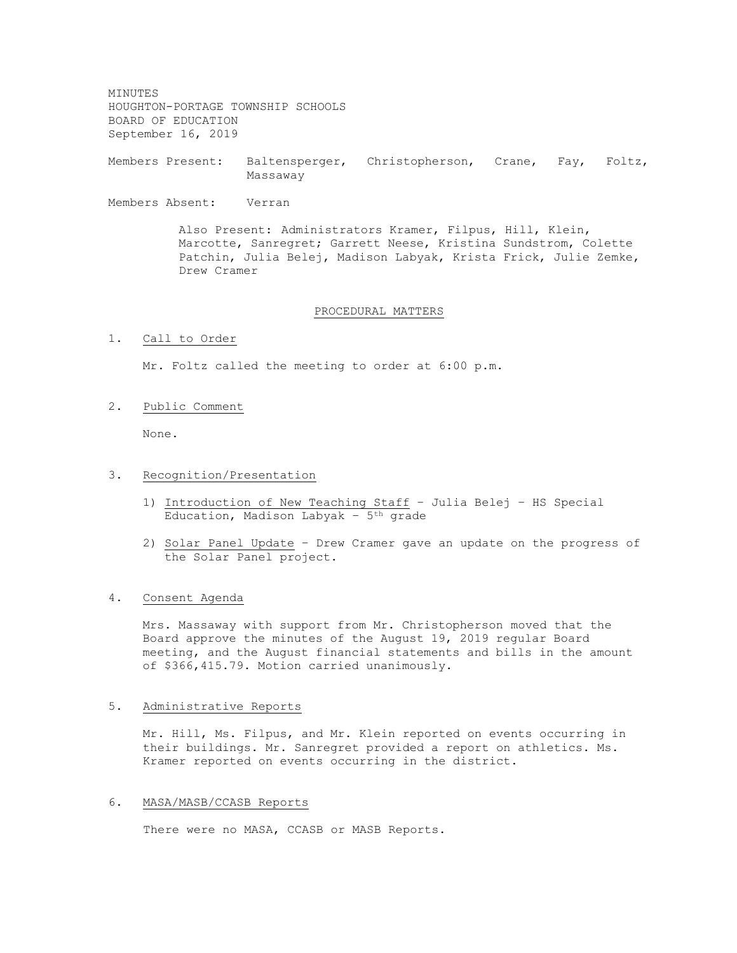MINUTES HOUGHTON-PORTAGE TOWNSHIP SCHOOLS BOARD OF EDUCATION September 16, 2019

Members Present: Baltensperger, Christopherson, Crane, Fay, Foltz, Massaway

Members Absent: Verran

Also Present: Administrators Kramer, Filpus, Hill, Klein, Marcotte, Sanregret; Garrett Neese, Kristina Sundstrom, Colette Patchin, Julia Belej, Madison Labyak, Krista Frick, Julie Zemke, Drew Cramer

# PROCEDURAL MATTERS

1. Call to Order

Mr. Foltz called the meeting to order at 6:00 p.m.

2. Public Comment

None.

# 3. Recognition/Presentation

- 1) Introduction of New Teaching Staff Julia Belej HS Special Education, Madison Labyak -  $5<sup>th</sup>$  grade
- 2) Solar Panel Update Drew Cramer gave an update on the progress of the Solar Panel project.

# 4. Consent Agenda

Mrs. Massaway with support from Mr. Christopherson moved that the Board approve the minutes of the August 19, 2019 regular Board meeting, and the August financial statements and bills in the amount of \$366,415.79. Motion carried unanimously.

### 5. Administrative Reports

Mr. Hill, Ms. Filpus, and Mr. Klein reported on events occurring in their buildings. Mr. Sanregret provided a report on athletics. Ms. Kramer reported on events occurring in the district.

#### 6. MASA/MASB/CCASB Reports

There were no MASA, CCASB or MASB Reports.